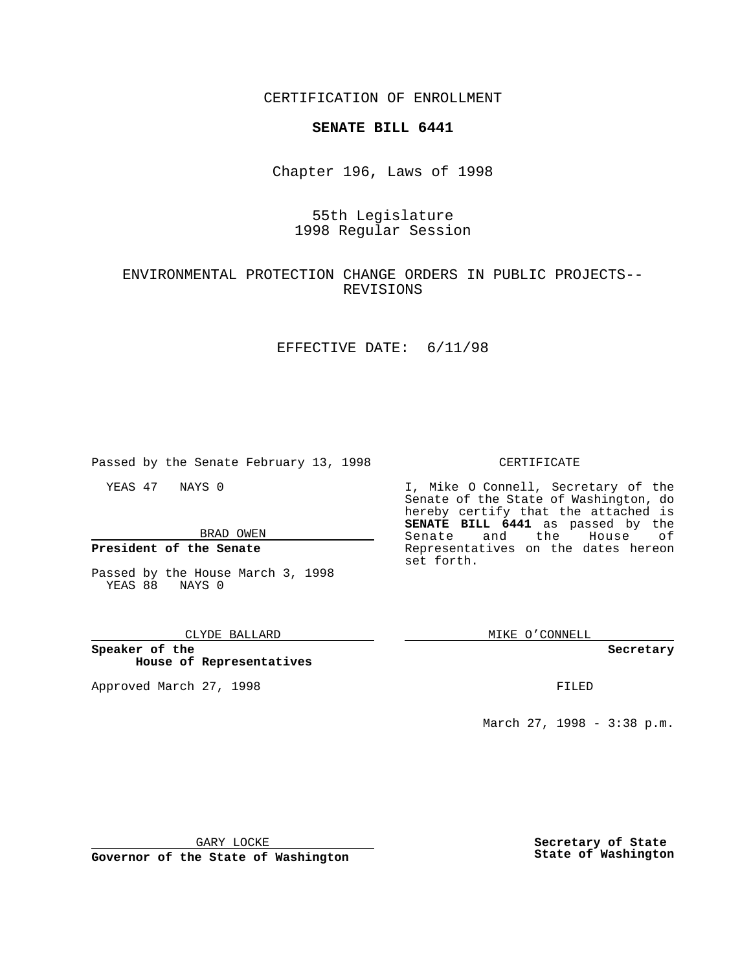CERTIFICATION OF ENROLLMENT

## **SENATE BILL 6441**

Chapter 196, Laws of 1998

# 55th Legislature 1998 Regular Session

### ENVIRONMENTAL PROTECTION CHANGE ORDERS IN PUBLIC PROJECTS-- REVISIONS

### EFFECTIVE DATE: 6/11/98

Passed by the Senate February 13, 1998

YEAS 47 NAYS 0

BRAD OWEN

**President of the Senate**

Passed by the House March 3, 1998 YEAS 88 NAYS 0

#### CLYDE BALLARD

**Speaker of the House of Representatives**

Approved March 27, 1998 **FILED** 

### CERTIFICATE

I, Mike O Connell, Secretary of the Senate of the State of Washington, do hereby certify that the attached is **SENATE BILL 6441** as passed by the Senate and the House of Representatives on the dates hereon set forth.

MIKE O'CONNELL

#### **Secretary**

March 27, 1998 - 3:38 p.m.

GARY LOCKE

**Governor of the State of Washington**

**Secretary of State State of Washington**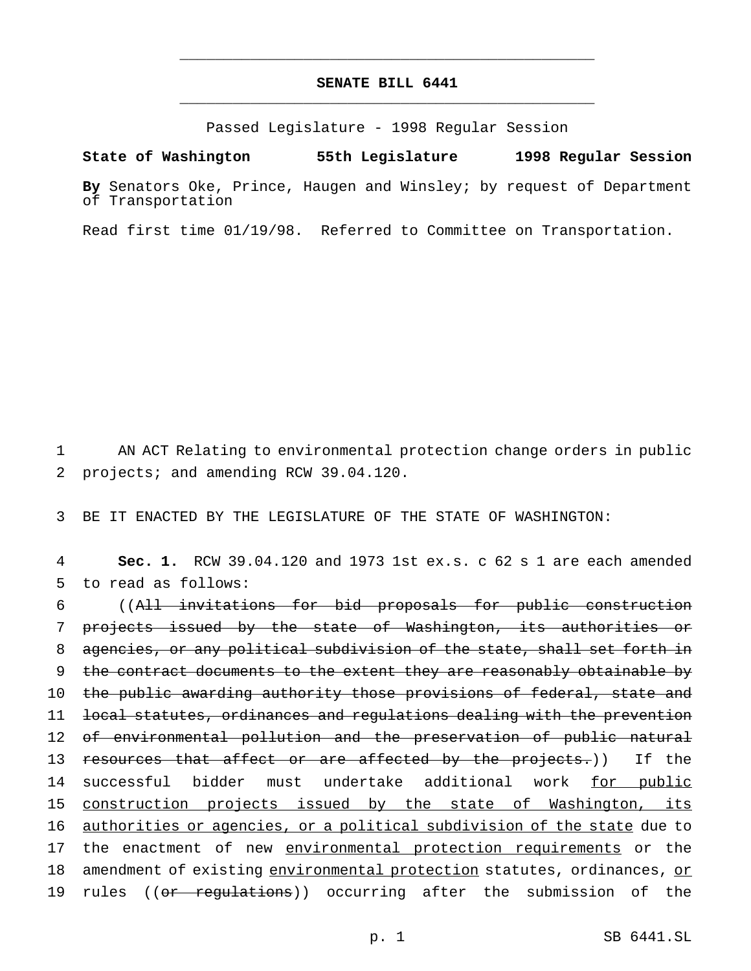# **SENATE BILL 6441** \_\_\_\_\_\_\_\_\_\_\_\_\_\_\_\_\_\_\_\_\_\_\_\_\_\_\_\_\_\_\_\_\_\_\_\_\_\_\_\_\_\_\_\_\_\_\_

\_\_\_\_\_\_\_\_\_\_\_\_\_\_\_\_\_\_\_\_\_\_\_\_\_\_\_\_\_\_\_\_\_\_\_\_\_\_\_\_\_\_\_\_\_\_\_

Passed Legislature - 1998 Regular Session

#### **State of Washington 55th Legislature 1998 Regular Session**

**By** Senators Oke, Prince, Haugen and Winsley; by request of Department of Transportation

Read first time 01/19/98. Referred to Committee on Transportation.

1 AN ACT Relating to environmental protection change orders in public 2 projects; and amending RCW 39.04.120.

3 BE IT ENACTED BY THE LEGISLATURE OF THE STATE OF WASHINGTON:

4 **Sec. 1.** RCW 39.04.120 and 1973 1st ex.s. c 62 s 1 are each amended 5 to read as follows:

6 ((All invitations for bid proposals for public construction 7 projects issued by the state of Washington, its authorities or 8 agencies, or any political subdivision of the state, shall set forth in 9 the contract documents to the extent they are reasonably obtainable by 10 the public awarding authority those provisions of federal, state and 11 local statutes, ordinances and regulations dealing with the prevention 12 of environmental pollution and the preservation of public natural 13 resources that affect or are affected by the projects.)) If the 14 successful bidder must undertake additional work for public 15 construction projects issued by the state of Washington, its 16 <u>authorities or agencies, or a political subdivision of the state</u> due to 17 the enactment of new environmental protection requirements or the 18 amendment of existing environmental protection statutes, ordinances, or 19 rules ((or regulations)) occurring after the submission of the